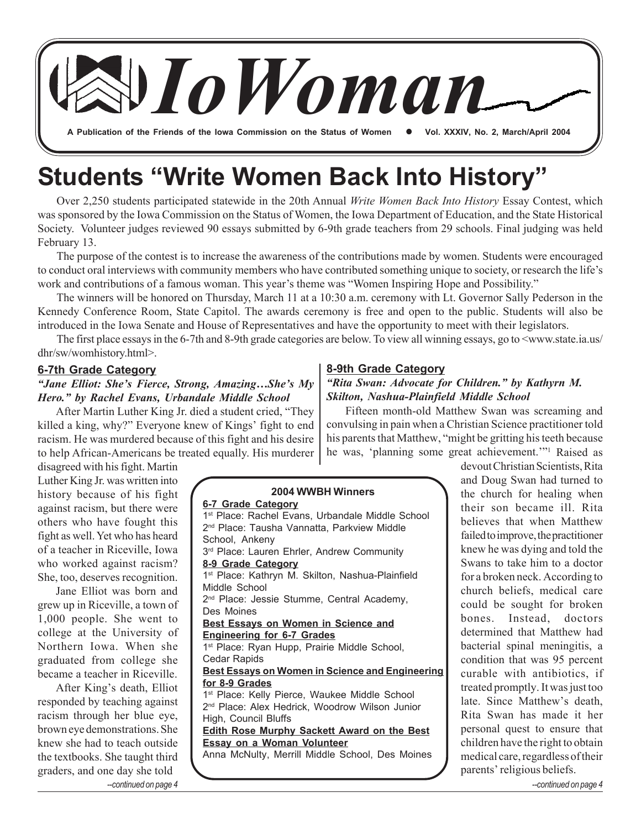**A Publication of the Friends of the Iowa Commission on the Status of Women**  z **Vol. XXXIV, No. 2, March/April 2004**

*IoWoman*

# **Students "Write Women Back Into History"**

Over 2,250 students participated statewide in the 20th Annual *Write Women Back Into History* Essay Contest, which was sponsored by the Iowa Commission on the Status of Women, the Iowa Department of Education, and the State Historical Society. Volunteer judges reviewed 90 essays submitted by 6-9th grade teachers from 29 schools. Final judging was held February 13.

The purpose of the contest is to increase the awareness of the contributions made by women. Students were encouraged to conduct oral interviews with community members who have contributed something unique to society, or research the life's work and contributions of a famous woman. This year's theme was "Women Inspiring Hope and Possibility."

The winners will be honored on Thursday, March 11 at a 10:30 a.m. ceremony with Lt. Governor Sally Pederson in the Kennedy Conference Room, State Capitol. The awards ceremony is free and open to the public. Students will also be introduced in the Iowa Senate and House of Representatives and have the opportunity to meet with their legislators.

The first place essays in the 6-7th and 8-9th grade categories are below. To view all winning essays, go to <www.state.ia.us/ dhr/sw/womhistory.html>.

#### **6-7th Grade Category**

### *"Jane Elliot: She's Fierce, Strong, Amazing…She's My Hero." by Rachel Evans, Urbandale Middle School*

After Martin Luther King Jr. died a student cried, "They killed a king, why?" Everyone knew of Kings' fight to end racism. He was murdered because of this fight and his desire to help African-Americans be treated equally. His murderer

disagreed with his fight. Martin Luther King Jr. was written into history because of his fight against racism, but there were others who have fought this fight as well. Yet who has heard of a teacher in Riceville, Iowa who worked against racism? She, too, deserves recognition.

Jane Elliot was born and grew up in Riceville, a town of 1,000 people. She went to college at the University of Northern Iowa. When she graduated from college she became a teacher in Riceville.

After King's death, Elliot responded by teaching against racism through her blue eye, brown eye demonstrations. She knew she had to teach outside the textbooks. She taught third graders, and one day she told *--continued on page 4 --continued on page 4*

### **8-9th Grade Category**

### *"Rita Swan: Advocate for Children." by Kathyrn M. Skilton, Nashua-Plainfield Middle School*

Fifteen month-old Matthew Swan was screaming and convulsing in pain when a Christian Science practitioner told his parents that Matthew, "might be gritting his teeth because he was, 'planning some great achievement.'"1 Raised as

**2004 WWBH Winners 6-7 Grade Category**

1<sup>st</sup> Place: Rachel Evans, Urbandale Middle School 2<sup>nd</sup> Place: Tausha Vannatta, Parkview Middle School, Ankeny 3<sup>rd</sup> Place: Lauren Ehrler, Andrew Community **8-9 Grade Category** 1<sup>st</sup> Place: Kathryn M. Skilton, Nashua-Plainfield Middle School 2<sup>nd</sup> Place: Jessie Stumme, Central Academy, Des Moines **Best Essays on Women in Science and Engineering for 6-7 Grades** 1<sup>st</sup> Place: Ryan Hupp, Prairie Middle School, Cedar Rapids **Best Essays on Women in Science and Engineering for 8-9 Grades** 1<sup>st</sup> Place: Kelly Pierce, Waukee Middle School 2<sup>nd</sup> Place: Alex Hedrick, Woodrow Wilson Junior High, Council Bluffs **Edith Rose Murphy Sackett Award on the Best Essay on a Woman Volunteer** Anna McNulty, Merrill Middle School, Des Moines

devout Christian Scientists, Rita and Doug Swan had turned to the church for healing when their son became ill. Rita believes that when Matthew failed to improve, the practitioner knew he was dying and told the Swans to take him to a doctor for a broken neck. According to church beliefs, medical care could be sought for broken bones. Instead, doctors determined that Matthew had bacterial spinal meningitis, a condition that was 95 percent curable with antibiotics, if treated promptly. It was just too late. Since Matthew's death, Rita Swan has made it her personal quest to ensure that children have the right to obtain medical care, regardless of their parents' religious beliefs.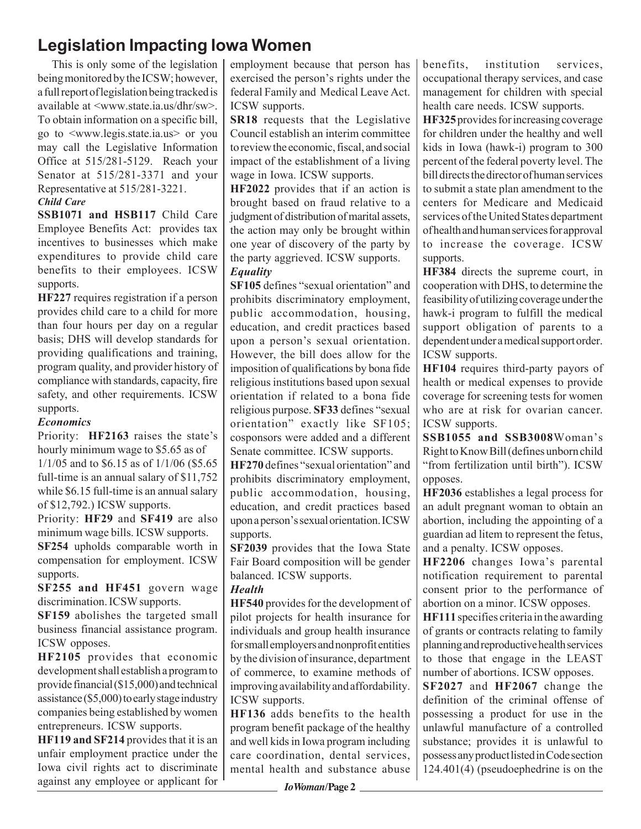### **Legislation Impacting Iowa Women**

 This is only some of the legislation being monitored by the ICSW; however, a full report of legislation being tracked is available at <www.state.ia.us/dhr/sw>. To obtain information on a specific bill, go to <www.legis.state.ia.us> or you may call the Legislative Information Office at 515/281-5129. Reach your Senator at 515/281-3371 and your Representative at 515/281-3221.

### *Child Care*

**SSB1071 and HSB117** Child Care Employee Benefits Act: provides tax incentives to businesses which make expenditures to provide child care benefits to their employees. ICSW supports.

**HF227** requires registration if a person provides child care to a child for more than four hours per day on a regular basis; DHS will develop standards for providing qualifications and training, program quality, and provider history of compliance with standards, capacity, fire safety, and other requirements. ICSW supports.

### *Economics*

Priority: **HF2163** raises the state's hourly minimum wage to \$5.65 as of

1/1/05 and to \$6.15 as of 1/1/06 (\$5.65 full-time is an annual salary of \$11,752 while \$6.15 full-time is an annual salary of \$12,792.) ICSW supports.

Priority: **HF29** and **SF419** are also minimum wage bills. ICSW supports. **SF254** upholds comparable worth in compensation for employment. ICSW supports.

**SF255 and HF451** govern wage discrimination. ICSW supports.

**SF159** abolishes the targeted small business financial assistance program. ICSW opposes.

**HF2105** provides that economic development shall establish a program to provide financial (\$15,000) and technical assistance (\$5,000) to early stage industry companies being established by women entrepreneurs. ICSW supports.

**HF119 and SF214** provides that it is an unfair employment practice under the Iowa civil rights act to discriminate against any employee or applicant for employment because that person has exercised the person's rights under the federal Family and Medical Leave Act. ICSW supports.

**SR18** requests that the Legislative Council establish an interim committee to review the economic, fiscal, and social impact of the establishment of a living wage in Iowa. ICSW supports.

**HF2022** provides that if an action is brought based on fraud relative to a judgment of distribution of marital assets, the action may only be brought within one year of discovery of the party by the party aggrieved. ICSW supports.

### *Equality*

**SF105** defines "sexual orientation" and prohibits discriminatory employment, public accommodation, housing, education, and credit practices based upon a person's sexual orientation. However, the bill does allow for the imposition of qualifications by bona fide religious institutions based upon sexual orientation if related to a bona fide religious purpose. **SF33** defines "sexual orientation" exactly like SF105; cosponsors were added and a different Senate committee. ICSW supports.

**HF270** defines "sexual orientation" and prohibits discriminatory employment, public accommodation, housing, education, and credit practices based upon a person's sexual orientation. ICSW supports.

**SF2039** provides that the Iowa State Fair Board composition will be gender balanced. ICSW supports.

### *Health*

**HF540** provides for the development of pilot projects for health insurance for individuals and group health insurance for small employers and nonprofit entities by the division of insurance, department of commerce, to examine methods of improving availability and affordability. ICSW supports.

**HF136** adds benefits to the health program benefit package of the healthy and well kids in Iowa program including care coordination, dental services, mental health and substance abuse benefits, institution services, occupational therapy services, and case management for children with special health care needs. ICSW supports.

**HF325** provides for increasing coverage for children under the healthy and well kids in Iowa (hawk-i) program to 300 percent of the federal poverty level. The bill directs the director of human services to submit a state plan amendment to the centers for Medicare and Medicaid services of the United States department of health and human services for approval to increase the coverage. ICSW supports.

**HF384** directs the supreme court, in cooperation with DHS, to determine the feasibility of utilizing coverage under the hawk-i program to fulfill the medical support obligation of parents to a dependent under a medical support order. ICSW supports.

**HF104** requires third-party payors of health or medical expenses to provide coverage for screening tests for women who are at risk for ovarian cancer. ICSW supports.

**SSB1055 and SSB3008**Woman's Right to Know Bill (defines unborn child "from fertilization until birth"). ICSW opposes.

**HF2036** establishes a legal process for an adult pregnant woman to obtain an abortion, including the appointing of a guardian ad litem to represent the fetus, and a penalty. ICSW opposes.

**HF2206** changes Iowa's parental notification requirement to parental consent prior to the performance of abortion on a minor. ICSW opposes.

**HF111** specifies criteria in the awarding of grants or contracts relating to family planning and reproductive health services to those that engage in the LEAST number of abortions. ICSW opposes.

**SF2027** and **HF2067** change the definition of the criminal offense of possessing a product for use in the unlawful manufacture of a controlled substance; provides it is unlawful to possess any product listed in Code section 124.401(4) (pseudoephedrine is on the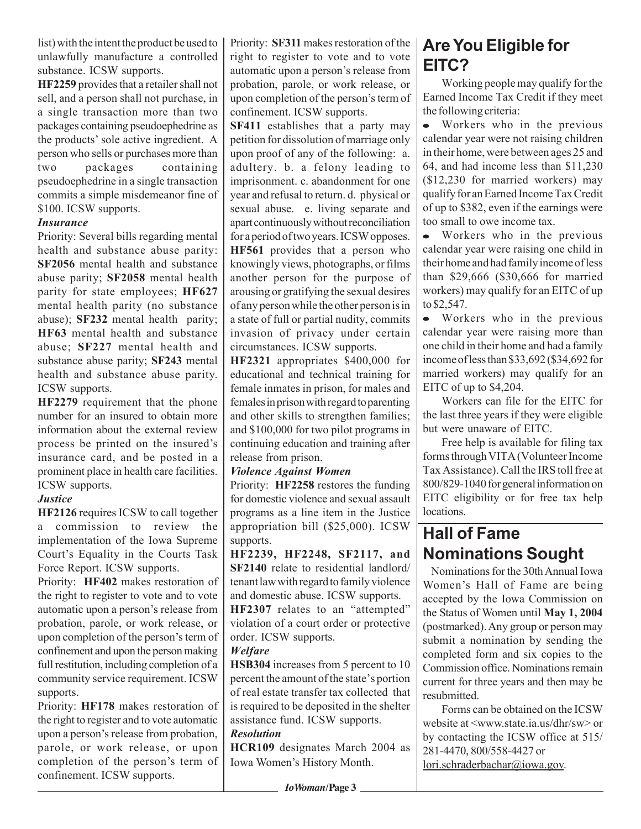list) with the intent the product be used to unlawfully manufacture a controlled substance. ICSW supports.

**HF2259** provides that a retailer shall not sell, and a person shall not purchase, in a single transaction more than two packages containing pseudoephedrine as the products' sole active ingredient. A person who sells or purchases more than two packages containing pseudoephedrine in a single transaction commits a simple misdemeanor fine of \$100. ICSW supports.

### *Insurance*

Priority: Several bills regarding mental health and substance abuse parity: **SF2056** mental health and substance abuse parity; **SF2058** mental health parity for state employees; **HF627** mental health parity (no substance abuse); **SF232** mental health parity; **HF63** mental health and substance abuse; **SF227** mental health and substance abuse parity; **SF243** mental health and substance abuse parity. ICSW supports.

**HF2279** requirement that the phone number for an insured to obtain more information about the external review process be printed on the insured's insurance card, and be posted in a prominent place in health care facilities. ICSW supports.

### *Justice*

**HF2126** requires ICSW to call together a commission to review the implementation of the Iowa Supreme Court's Equality in the Courts Task Force Report. ICSW supports.

Priority: **HF402** makes restoration of the right to register to vote and to vote automatic upon a person's release from probation, parole, or work release, or upon completion of the person's term of confinement and upon the person making full restitution, including completion of a community service requirement. ICSW supports.

Priority: **HF178** makes restoration of the right to register and to vote automatic upon a person's release from probation, parole, or work release, or upon completion of the person's term of confinement. ICSW supports.

Priority: **SF311** makes restoration of the right to register to vote and to vote automatic upon a person's release from probation, parole, or work release, or upon completion of the person's term of confinement. ICSW supports.

**SF411** establishes that a party may petition for dissolution of marriage only upon proof of any of the following: a. adultery. b. a felony leading to imprisonment. c. abandonment for one year and refusal to return. d. physical or sexual abuse. e. living separate and apart continuously without reconciliation for a period of two years. ICSW opposes. **HF561** provides that a person who knowingly views, photographs, or films another person for the purpose of arousing or gratifying the sexual desires of any person while the other person is in a state of full or partial nudity, commits invasion of privacy under certain circumstances. ICSW supports.

**HF2321** appropriates \$400,000 for educational and technical training for female inmates in prison, for males and females in prison with regard to parenting and other skills to strengthen families; and \$100,000 for two pilot programs in continuing education and training after release from prison.

### *Violence Against Women*

Priority: **HF2258** restores the funding for domestic violence and sexual assault programs as a line item in the Justice appropriation bill (\$25,000). ICSW supports.

**HF2239, HF2248, SF2117, and SF2140** relate to residential landlord/ tenant law with regard to family violence and domestic abuse. ICSW supports.

**HF2307** relates to an "attempted" violation of a court order or protective order. ICSW supports.

### *Welfare*

**HSB304** increases from 5 percent to 10 percent the amount of the state's portion of real estate transfer tax collected that is required to be deposited in the shelter assistance fund. ICSW supports.

### *Resolution*

**HCR109** designates March 2004 as Iowa Women's History Month.

### **Are You Eligible for EITC?**

Working people may qualify for the Earned Income Tax Credit if they meet the following criteria:

Workers who in the previous calendar year were not raising children in their home, were between ages 25 and 64, and had income less than \$11,230 (\$12,230 for married workers) may qualify for an Earned Income Tax Credit of up to \$382, even if the earnings were too small to owe income tax.

• Workers who in the previous calendar year were raising one child in their home and had family income of less than \$29,666 (\$30,666 for married workers) may qualify for an EITC of up to \$2,547.

Workers who in the previous calendar year were raising more than one child in their home and had a family income of less than \$33,692 (\$34,692 for married workers) may qualify for an EITC of up to \$4,204.

Workers can file for the EITC for the last three years if they were eligible but were unaware of EITC.

Free help is available for filing tax forms through VITA (Volunteer Income Tax Assistance). Call the IRS toll free at 800/829-1040 for general information on EITC eligibility or for free tax help locations.

### **Hall of Fame Nominations Sought**

 Nominations for the 30th Annual Iowa Women's Hall of Fame are being accepted by the Iowa Commission on the Status of Women until **May 1, 2004** (postmarked). Any group or person may submit a nomination by sending the completed form and six copies to the Commission office. Nominations remain current for three years and then may be resubmitted.

Forms can be obtained on the ICSW website at <www.state.ia.us/dhr/sw> or by contacting the ICSW office at 515/ 281-4470, 800/558-4427 or lori.schraderbachar@iowa.gov.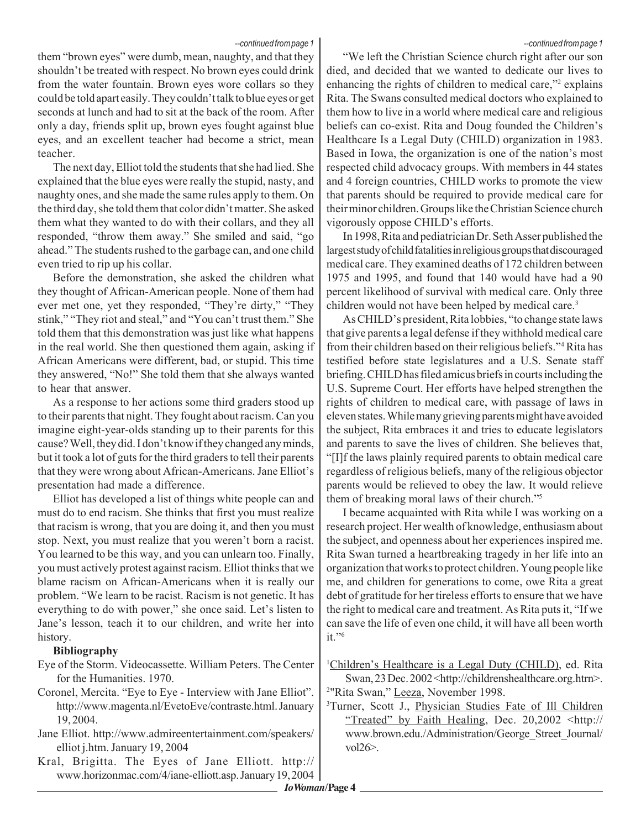#### *--continued from page 1*

them "brown eyes" were dumb, mean, naughty, and that they shouldn't be treated with respect. No brown eyes could drink from the water fountain. Brown eyes wore collars so they could be told apart easily. They couldn't talk to blue eyes or get seconds at lunch and had to sit at the back of the room. After only a day, friends split up, brown eyes fought against blue eyes, and an excellent teacher had become a strict, mean teacher.

The next day, Elliot told the students that she had lied. She explained that the blue eyes were really the stupid, nasty, and naughty ones, and she made the same rules apply to them. On the third day, she told them that color didn't matter. She asked them what they wanted to do with their collars, and they all responded, "throw them away." She smiled and said, "go ahead." The students rushed to the garbage can, and one child even tried to rip up his collar.

Before the demonstration, she asked the children what they thought of African-American people. None of them had ever met one, yet they responded, "They're dirty," "They stink," "They riot and steal," and "You can't trust them." She told them that this demonstration was just like what happens in the real world. She then questioned them again, asking if African Americans were different, bad, or stupid. This time they answered, "No!" She told them that she always wanted to hear that answer.

As a response to her actions some third graders stood up to their parents that night. They fought about racism. Can you imagine eight-year-olds standing up to their parents for this cause? Well, they did. I don't know if they changed any minds, but it took a lot of guts for the third graders to tell their parents that they were wrong about African-Americans. Jane Elliot's presentation had made a difference.

Elliot has developed a list of things white people can and must do to end racism. She thinks that first you must realize that racism is wrong, that you are doing it, and then you must stop. Next, you must realize that you weren't born a racist. You learned to be this way, and you can unlearn too. Finally, you must actively protest against racism. Elliot thinks that we blame racism on African-Americans when it is really our problem. "We learn to be racist. Racism is not genetic. It has everything to do with power," she once said. Let's listen to Jane's lesson, teach it to our children, and write her into history.

#### **Bibliography**

- Eye of the Storm. Videocassette. William Peters. The Center for the Humanities. 1970.
- Coronel, Mercita. "Eye to Eye Interview with Jane Elliot". http://www.magenta.nl/EvetoEve/contraste.html. January 19, 2004.
- Jane Elliot. http://www.admireentertainment.com/speakers/ elliot j.htm. January 19, 2004
- Kral, Brigitta. The Eyes of Jane Elliott. http:// www.horizonmac.com/4/iane-elliott.asp. January 19, 2004

"We left the Christian Science church right after our son died, and decided that we wanted to dedicate our lives to enhancing the rights of children to medical care,"<sup>2</sup> explains Rita. The Swans consulted medical doctors who explained to them how to live in a world where medical care and religious beliefs can co-exist. Rita and Doug founded the Children's Healthcare Is a Legal Duty (CHILD) organization in 1983. Based in Iowa, the organization is one of the nation's most respected child advocacy groups. With members in 44 states and 4 foreign countries, CHILD works to promote the view that parents should be required to provide medical care for their minor children. Groups like the Christian Science church vigorously oppose CHILD's efforts.

In 1998, Rita and pediatrician Dr. Seth Asser published the largest study of child fatalities in religious groups that discouraged medical care. They examined deaths of 172 children between 1975 and 1995, and found that 140 would have had a 90 percent likelihood of survival with medical care. Only three children would not have been helped by medical care.<sup>3</sup>

As CHILD's president, Rita lobbies, "to change state laws that give parents a legal defense if they withhold medical care from their children based on their religious beliefs."4 Rita has testified before state legislatures and a U.S. Senate staff briefing. CHILD has filed amicus briefs in courts including the U.S. Supreme Court. Her efforts have helped strengthen the rights of children to medical care, with passage of laws in eleven states. While many grieving parents might have avoided the subject, Rita embraces it and tries to educate legislators and parents to save the lives of children. She believes that, "[I]f the laws plainly required parents to obtain medical care regardless of religious beliefs, many of the religious objector parents would be relieved to obey the law. It would relieve them of breaking moral laws of their church."5

I became acquainted with Rita while I was working on a research project. Her wealth of knowledge, enthusiasm about the subject, and openness about her experiences inspired me. Rita Swan turned a heartbreaking tragedy in her life into an organization that works to protect children. Young people like me, and children for generations to come, owe Rita a great debt of gratitude for her tireless efforts to ensure that we have the right to medical care and treatment. As Rita puts it, "If we can save the life of even one child, it will have all been worth  $it.$ "6

<sup>1</sup>Children's Healthcare is a Legal Duty (CHILD), ed. Rita Swan, 23 Dec. 2002 < http://childrenshealthcare.org.htm>.

<sup>2</sup>"Rita Swan," Leeza, November 1998.

<sup>3</sup>Turner, Scott J., *Physician Studies Fate of Ill Children* "Treated" by Faith Healing, Dec. 20,2002 <http:// www.brown.edu./Administration/George\_Street\_Journal/ vol26>.

*--continued from page 1*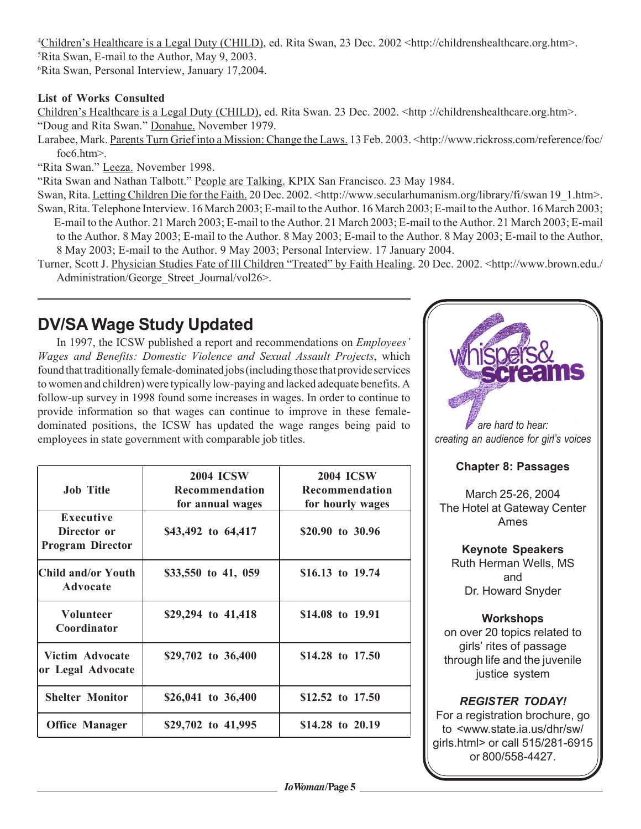4 Children's Healthcare is a Legal Duty (CHILD), ed. Rita Swan, 23 Dec. 2002 <http://childrenshealthcare.org.htm>. 5 Rita Swan, E-mail to the Author, May 9, 2003. 6 Rita Swan, Personal Interview, January 17,2004.

### **List of Works Consulted**

Children's Healthcare is a Legal Duty (CHILD), ed. Rita Swan. 23 Dec. 2002. <http://childrenshealthcare.org.htm>. "Doug and Rita Swan." Donahue. November 1979.

Larabee, Mark. Parents Turn Grief into a Mission: Change the Laws. 13 Feb. 2003. <http://www.rickross.com/reference/foc/ foc6.htm>.

"Rita Swan." Leeza. November 1998.

"Rita Swan and Nathan Talbott." People are Talking. KPIX San Francisco. 23 May 1984.

Swan, Rita. Letting Children Die for the Faith. 20 Dec. 2002. <http://www.secularhumanism.org/library/fi/swan 19\_1.htm>. Swan, Rita. Telephone Interview. 16 March 2003; E-mail to the Author. 16 March 2003; E-mail to the Author. 16 March 2003; E-mail to the Author. 21 March 2003; E-mail to the Author. 21 March 2003; E-mail to the Author. 21 March 2003; E-mail to the Author. 8 May 2003; E-mail to the Author. 8 May 2003; E-mail to the Author. 8 May 2003; E-mail to the Author, 8 May 2003; E-mail to the Author. 9 May 2003; Personal Interview. 17 January 2004.

Turner, Scott J. Physician Studies Fate of Ill Children "Treated" by Faith Healing. 20 Dec. 2002. <http://www.brown.edu./ Administration/George Street Journal/vol26>.

### **DV/SA Wage Study Updated**

In 1997, the ICSW published a report and recommendations on *Employees' Wages and Benefits: Domestic Violence and Sexual Assault Projects*, which found that traditionally female-dominated jobs (including those that provide services to women and children) were typically low-paying and lacked adequate benefits. A follow-up survey in 1998 found some increases in wages. In order to continue to provide information so that wages can continue to improve in these femaledominated positions, the ICSW has updated the wage ranges being paid to employees in state government with comparable job titles.

| <b>Job Title</b>                                           | <b>2004 ICSW</b><br>Recommendation<br>for annual wages | <b>2004 ICSW</b><br>Recommendation<br>for hourly wages |
|------------------------------------------------------------|--------------------------------------------------------|--------------------------------------------------------|
| <b>Executive</b><br>Director or<br><b>Program Director</b> | \$43,492 to 64,417                                     | \$20.90 to 30.96                                       |
| Child and/or Youth <br>Advocate                            | \$33,550 to 41, 059                                    | \$16.13 to 19.74                                       |
| <b>Volunteer</b><br>Coordinator                            | \$29,294 to 41,418                                     | \$14.08 to 19.91                                       |
| Victim Advocate<br>or Legal Advocate                       | \$29,702 to 36,400                                     | \$14.28 to 17.50                                       |
| <b>Shelter Monitor</b>                                     | \$26,041 to 36,400                                     | \$12.52 to 17.50                                       |
| <b>Office Manager</b>                                      | \$29,702 to 41,995                                     | \$14.28 to 20.19                                       |



girls' rites of passage through life and the juvenile justice system

### *REGISTER TODAY!*

For a registration brochure, go to <www.state.ia.us/dhr/sw/ girls.html> or call 515/281-6915 or 800/558-4427.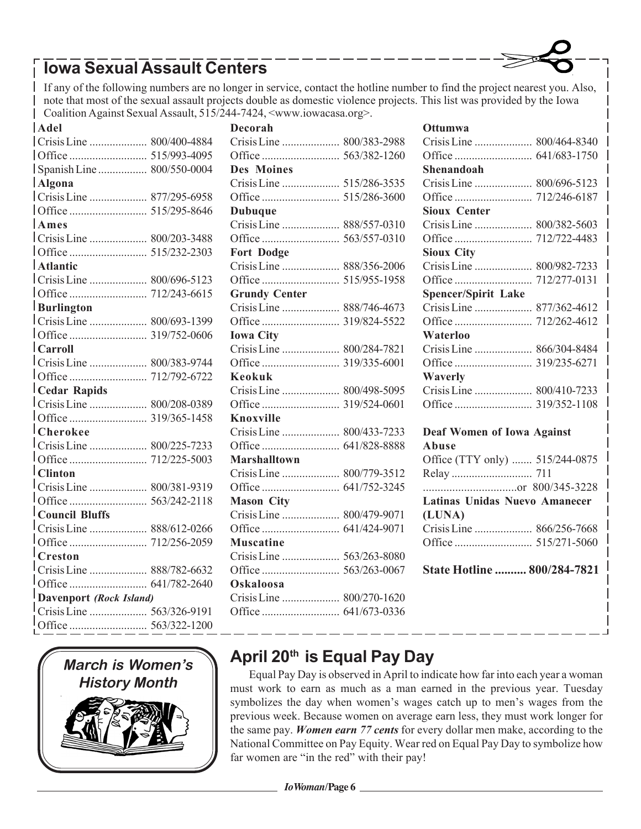## **Iowa Sexual Assault Centers**

If any of the following numbers are no longer in service, contact the hotline number to find the project nearest you. Also, note that most of the sexual assault projects double as domestic violence projects. This list was provided by the Iowa Coalition Against Sexual Assault, 515/244-7424, <www.iowacasa.org>.

| Adel                            |  |  |
|---------------------------------|--|--|
|                                 |  |  |
|                                 |  |  |
|                                 |  |  |
| Algona                          |  |  |
|                                 |  |  |
|                                 |  |  |
| <b>Ames</b>                     |  |  |
|                                 |  |  |
|                                 |  |  |
| Atlantic                        |  |  |
|                                 |  |  |
|                                 |  |  |
| Burlington                      |  |  |
|                                 |  |  |
|                                 |  |  |
| $ $ Carroll                     |  |  |
|                                 |  |  |
|                                 |  |  |
| Cedar Rapids                    |  |  |
|                                 |  |  |
|                                 |  |  |
| $ _\mathbf{Cheroke}$            |  |  |
|                                 |  |  |
|                                 |  |  |
| $ $ Clinton                     |  |  |
|                                 |  |  |
|                                 |  |  |
| Council Bluffs                  |  |  |
|                                 |  |  |
|                                 |  |  |
| $\mathsf{l}_{\mathbf{Creston}}$ |  |  |
|                                 |  |  |
|                                 |  |  |
| Davenport (Rock Island)         |  |  |
|                                 |  |  |
|                                 |  |  |



| <b>Decorah</b>       |              |
|----------------------|--------------|
| Crisis Line          | 800/383-2988 |
|                      |              |
| <b>Des Moines</b>    |              |
|                      |              |
|                      |              |
| <b>Dubuque</b>       |              |
| Crisis Line          | 888/557-0310 |
|                      | 563/557-0310 |
| <b>Fort Dodge</b>    |              |
|                      |              |
|                      | 515/955-1958 |
| <b>Grundy Center</b> |              |
| Crisis Line          | 888/746-4673 |
|                      | 319/824-5522 |
| <b>Iowa City</b>     |              |
| Crisis Line          | 800/284-7821 |
|                      | 319/335-6001 |
| Keokuk               |              |
|                      |              |
|                      | 319/524-0601 |
| <b>Knoxville</b>     |              |
|                      |              |
|                      | 641/828-8888 |
| <b>Marshalltown</b>  |              |
| Crisis Line          | 800/779-3512 |
|                      |              |
| <b>Mason City</b>    |              |
| Crisis Line          | 800/479-9071 |
|                      |              |
| <b>Muscatine</b>     |              |
| Crisis Line          | 563/263-8080 |
|                      |              |
|                      |              |
| Oskaloosa            |              |
|                      |              |

### **Ottumwa** Crisis Line .................... 800/464-8340 Office ........................... 641/683-1750 **Shenandoah** Crisis Line .................... 800/696-5123 Office ........................... 712/246-6187 **Sioux Center** Crisis Line .................... 800/382-5603 Office ........................... 712/722-4483 **Sioux City** Crisis Line .................... 800/982-7233 Office ........................... 712/277-0131 **Spencer/Spirit Lake** Crisis Line .................... 877/362-4612 Office ........................... 712/262-4612 **Waterloo** Crisis Line .................... 866/304-8484 Office ........................... 319/235-6271 **Waverly** Crisis Line .................... 800/410-7233 Office ........................... 319/352-1108 **Deaf Women of Iowa Against Abuse** Office (TTY only) ....... 515/244-0875 Relay ............................ 711 ................................or 800/345-3228 **Latinas Unidas Nuevo Amanecer (LUNA)** Crisis Line .................... 866/256-7668 Office ........................... 515/271-5060 **State Hotline .......... 800/284-7821**

### **April 20th is Equal Pay Day**

Equal Pay Day is observed in April to indicate how far into each year a woman must work to earn as much as a man earned in the previous year. Tuesday symbolizes the day when women's wages catch up to men's wages from the previous week. Because women on average earn less, they must work longer for the same pay. *Women earn 77 cents* for every dollar men make, according to the National Committee on Pay Equity. Wear red on Equal Pay Day to symbolize how far women are "in the red" with their pay!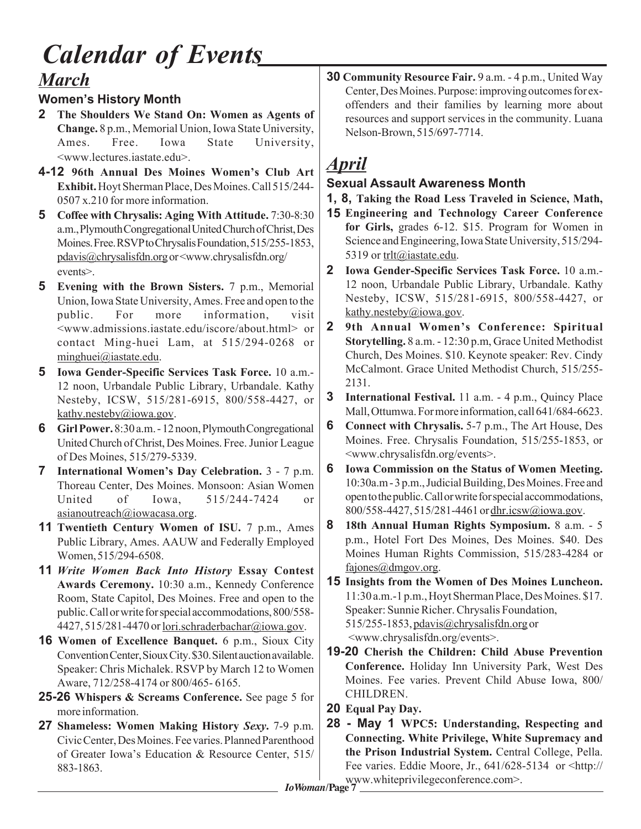# *March Calendar of Events*

### **Women's History Month**

- **2 The Shoulders We Stand On: Women as Agents of Change.** 8 p.m., Memorial Union, Iowa State University, Ames. Free. Iowa State University, <www.lectures.iastate.edu>.
- **4-12 96th Annual Des Moines Women's Club Art Exhibit.** Hoyt Sherman Place, Des Moines. Call 515/244- 0507 x.210 for more information.
- **5 Coffee with Chrysalis: Aging With Attitude.** 7:30-8:30 a.m., Plymouth Congregational United Church of Christ, Des Moines. Free. RSVP to Chrysalis Foundation, 515/255-1853, pdavis@chrysalisfdn.org or <www.chrysalisfdn.org/ events>.
- **5 Evening with the Brown Sisters.** 7 p.m., Memorial Union, Iowa State University, Ames. Free and open to the public. For more information, visit <www.admissions.iastate.edu/iscore/about.html> or contact Ming-huei Lam, at 515/294-0268 or minghuei@iastate.edu.
- **5 Iowa Gender-Specific Services Task Force.** 10 a.m.- 12 noon, Urbandale Public Library, Urbandale. Kathy Nesteby, ICSW, 515/281-6915, 800/558-4427, or kathy.nesteby@iowa.gov.
- **6 Girl Power.** 8:30 a.m. 12 noon, Plymouth Congregational United Church of Christ, Des Moines. Free. Junior League of Des Moines, 515/279-5339.
- **7 International Women's Day Celebration.** 3 7 p.m. Thoreau Center, Des Moines. Monsoon: Asian Women United of Iowa, 515/244-7424 or asianoutreach@iowacasa.org.
- **11 Twentieth Century Women of ISU.** 7 p.m., Ames Public Library, Ames. AAUW and Federally Employed Women, 515/294-6508.
- **11** *Write Women Back Into History* **Essay Contest Awards Ceremony.** 10:30 a.m., Kennedy Conference Room, State Capitol, Des Moines. Free and open to the public. Call or write for special accommodations, 800/558- 4427, 515/281-4470 or <u>lori.schraderbachar@iowa.gov</u>.
- **16 Women of Excellence Banquet.** 6 p.m., Sioux City Convention Center, Sioux City. \$30. Silent auction available. Speaker: Chris Michalek. RSVP by March 12 to Women Aware, 712/258-4174 or 800/465- 6165.
- **25-26 Whispers & Screams Conference.** See page 5 for more information.
- **27 Shameless: Women Making History** *Sexy***.** 7-9 p.m. Civic Center, Des Moines. Fee varies. Planned Parenthood of Greater Iowa's Education & Resource Center, 515/ 883-1863.

**30 Community Resource Fair.** 9 a.m. - 4 p.m., United Way Center, Des Moines. Purpose: improving outcomes for exoffenders and their families by learning more about resources and support services in the community. Luana Nelson-Brown, 515/697-7714.

# *April*

### **Sexual Assault Awareness Month**

- **1, 8, Taking the Road Less Traveled in Science, Math,**
- **Engineering and Technology Career Conference 15for Girls,** grades 6-12. \$15. Program for Women in Science and Engineering, Iowa State University, 515/294- 5319 or trlt@iastate.edu.
- **2 Iowa Gender-Specific Services Task Force.** 10 a.m.- 12 noon, Urbandale Public Library, Urbandale. Kathy Nesteby, ICSW, 515/281-6915, 800/558-4427, or kathy.nesteby@iowa.gov.
- **2 9th Annual Women's Conference: Spiritual Storytelling.** 8 a.m. - 12:30 p.m, Grace United Methodist Church, Des Moines. \$10. Keynote speaker: Rev. Cindy McCalmont. Grace United Methodist Church, 515/255- 2131.
- **3 International Festival.** 11 a.m. 4 p.m., Quincy Place Mall, Ottumwa. For more information, call 641/684-6623.
- **6 Connect with Chrysalis.** 5-7 p.m., The Art House, Des Moines. Free. Chrysalis Foundation, 515/255-1853, or <www.chrysalisfdn.org/events>.
- **6 Iowa Commission on the Status of Women Meeting.** 10:30a.m - 3 p.m., Judicial Building, Des Moines. Free and open to the public. Call or write for special accommodations, 800/558-4427, 515/281-4461 or dhr.icsw@iowa.gov.
- **8 18th Annual Human Rights Symposium.** 8 a.m. 5 p.m., Hotel Fort Des Moines, Des Moines. \$40. Des Moines Human Rights Commission, 515/283-4284 or fajones@dmgov.org.
- **15 Insights from the Women of Des Moines Luncheon.** 11:30 a.m.-1 p.m., Hoyt Sherman Place, Des Moines. \$17. Speaker: Sunnie Richer. Chrysalis Foundation, 515/255-1853, pdavis@chrysalisfdn.org or <www.chrysalisfdn.org/events>.
- **19-20 Cherish the Children: Child Abuse Prevention Conference.** Holiday Inn University Park, West Des Moines. Fee varies. Prevent Child Abuse Iowa, 800/ CHILDREN.
- **20 Equal Pay Day.**
- *IoWoman***/Page 7** www.whiteprivilegeconference.com>. **28 - May 1 WPC5: Understanding, Respecting and Connecting. White Privilege, White Supremacy and the Prison Industrial System.** Central College, Pella. Fee varies. Eddie Moore, Jr., 641/628-5134 or <http://